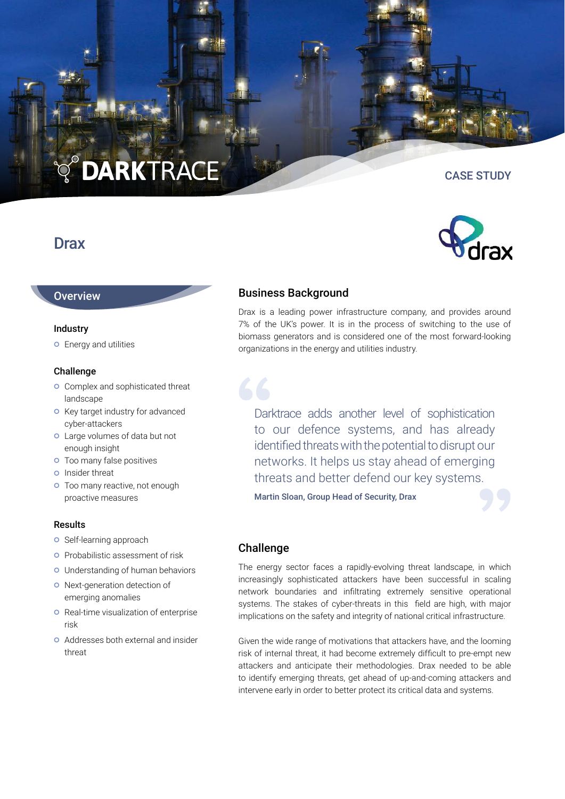# **DARKTRACE**

# **Drax**

# **Overview**

#### Industry

Energy and utilities

### Challenge

- **o** Complex and sophisticated threat landscape
- **o** Key target industry for advanced cyber-attackers
- Large volumes of data but not enough insight
- **o** Too many false positives
- **o** Insider threat
- **o** Too many reactive, not enough proactive measures

#### Results

- o Self-learning approach
- **o** Probabilistic assessment of risk
- Understanding of human behaviors
- o Next-generation detection of emerging anomalies
- **O** Real-time visualization of enterprise risk
- Addresses both external and insider threat

# Business Background

Drax is a leading power infrastructure company, and provides around 7% of the UK's power. It is in the process of switching to the use of biomass generators and is considered one of the most forward-looking organizations in the energy and utilities industry.

Darktrace adds another level of sophistication to our defence systems, and has already identified threats with the potential to disrupt our networks. It helps us stay ahead of emerging threats and better defend our key systems.

Martin Sloan, Group Head of Security, Drax

# **Challenge**

The energy sector faces a rapidly-evolving threat landscape, in which increasingly sophisticated attackers have been successful in scaling network boundaries and infiltrating extremely sensitive operational systems. The stakes of cyber-threats in this field are high, with major implications on the safety and integrity of national critical infrastructure.

Given the wide range of motivations that attackers have, and the looming risk of internal threat, it had become extremely difficult to pre-empt new attackers and anticipate their methodologies. Drax needed to be able to identify emerging threats, get ahead of up-and-coming attackers and intervene early in order to better protect its critical data and systems.



CASE STUDY